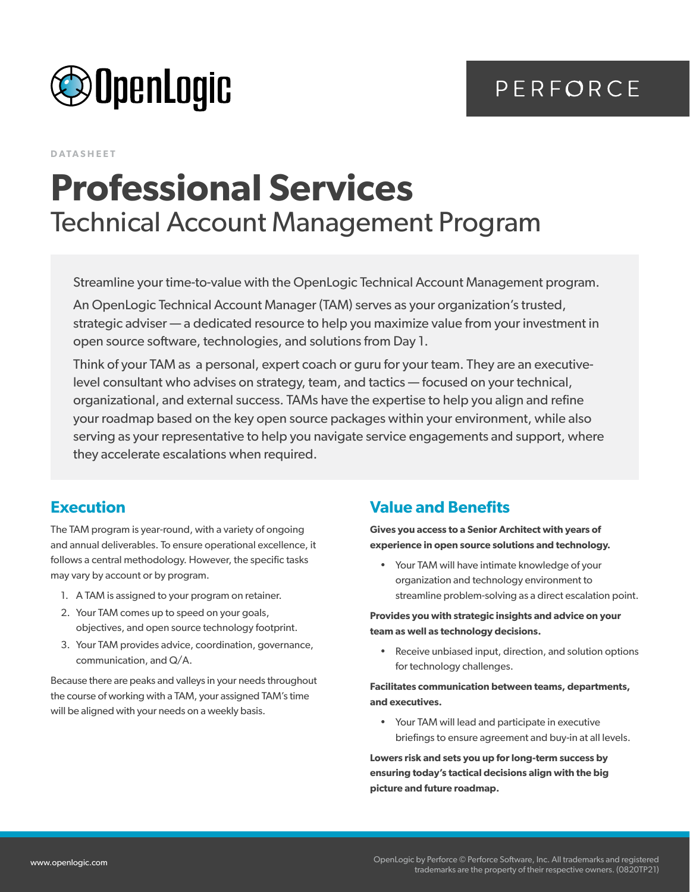



**DATASHEET**

# **Professional Services** Technical Account Management Program

Streamline your time-to-value with the OpenLogic Technical Account Management program.

An OpenLogic Technical Account Manager (TAM) serves as your organization's trusted, strategic adviser — a dedicated resource to help you maximize value from your investment in open source software, technologies, and solutions from Day 1.

Think of your TAM as a personal, expert coach or guru for your team. They are an executivelevel consultant who advises on strategy, team, and tactics — focused on your technical, organizational, and external success. TAMs have the expertise to help you align and refine your roadmap based on the key open source packages within your environment, while also serving as your representative to help you navigate service engagements and support, where they accelerate escalations when required.

### **Execution**

The TAM program is year-round, with a variety of ongoing and annual deliverables. To ensure operational excellence, it follows a central methodology. However, the specific tasks may vary by account or by program.

- 1. A TAM is assigned to your program on retainer.
- 2. Your TAM comes up to speed on your goals, objectives, and open source technology footprint.
- 3. Your TAM provides advice, coordination, governance, communication, and Q/A.

Because there are peaks and valleys in your needs throughout the course of working with a TAM, your assigned TAM's time will be aligned with your needs on a weekly basis.

### **Value and Benefits**

**Gives you access to a Senior Architect with years of experience in open source solutions and technology.**

• Your TAM will have intimate knowledge of your organization and technology environment to streamline problem-solving as a direct escalation point.

**Provides you with strategic insights and advice on your team as well as technology decisions.**

• Receive unbiased input, direction, and solution options for technology challenges.

#### **Facilitates communication between teams, departments, and executives.**

• Your TAM will lead and participate in executive briefings to ensure agreement and buy-in at all levels.

**Lowers risk and sets you up for long-term success by ensuring today's tactical decisions align with the big picture and future roadmap.**